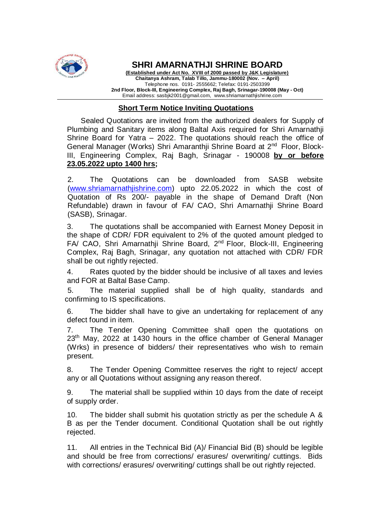

**SHRI AMARNATHJI SHRINE BOARD**

**(Established under Act No. XVIII of 2000 passed by J&K Legislature) Chaitanya Ashram, Talab Tillo, Jammu-180002 (Nov. – April)** Telephone nos. 0191- 2555662; Telefax: 0191-2503399 **2nd Floor, Block-III, Engineering Complex, Raj Bagh, Srinagar-190008 (May - Oct)** Email address: sasbjk2001@gmail.com, www.shriamarnathjishrine.com

## **Short Term Notice Inviting Quotations**

Sealed Quotations are invited from the authorized dealers for Supply of Plumbing and Sanitary items along Baltal Axis required for Shri Amarnathji Shrine Board for Yatra – 2022. The quotations should reach the office of General Manager (Works) Shri Amaranthji Shrine Board at 2<sup>nd</sup> Floor, Block-III, Engineering Complex, Raj Bagh, Srinagar - 190008 **by or before 23.05.2022 upto 1400 hrs;** 

2. The Quotations can be downloaded from SASB website [\(www.shriamarnathjishrine.com\)](http://www.shriamarnathjishrine.com/) upto 22.05.2022 in which the cost of Quotation of Rs 200/- payable in the shape of Demand Draft (Non Refundable) drawn in favour of FA/ CAO, Shri Amarnathji Shrine Board (SASB), Srinagar.

3. The quotations shall be accompanied with Earnest Money Deposit in the shape of CDR/ FDR equivalent to 2% of the quoted amount pledged to FA/ CAO, Shri Amarnathji Shrine Board, 2<sup>nd</sup> Floor, Block-III, Engineering Complex, Raj Bagh, Srinagar, any quotation not attached with CDR/ FDR shall be out rightly rejected.

4. Rates quoted by the bidder should be inclusive of all taxes and levies and FOR at Baltal Base Camp.

5. The material supplied shall be of high quality, standards and confirming to IS specifications.

6. The bidder shall have to give an undertaking for replacement of any defect found in item.

7. The Tender Opening Committee shall open the quotations on 23<sup>th</sup> May, 2022 at 1430 hours in the office chamber of General Manager (Wrks) in presence of bidders/ their representatives who wish to remain present.

8. The Tender Opening Committee reserves the right to reject/ accept any or all Quotations without assigning any reason thereof.

9. The material shall be supplied within 10 days from the date of receipt of supply order.

10. The bidder shall submit his quotation strictly as per the schedule A & B as per the Tender document. Conditional Quotation shall be out rightly rejected.

11. All entries in the Technical Bid (A)/ Financial Bid (B) should be legible and should be free from corrections/ erasures/ overwriting/ cuttings. Bids with corrections/ erasures/ overwriting/ cuttings shall be out rightly rejected.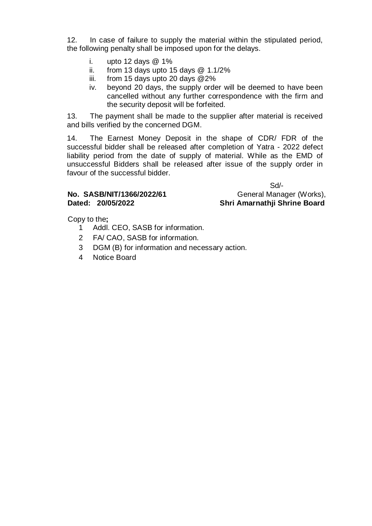12. In case of failure to supply the material within the stipulated period, the following penalty shall be imposed upon for the delays.

- i. upto 12 days  $@1\%$
- ii. from 13 days upto 15 days  $@$  1.1/2%<br>iii. from 15 days upto 20 days  $@2\%$
- from 15 days upto 20 days  $@2\%$
- iv. beyond 20 days, the supply order will be deemed to have been cancelled without any further correspondence with the firm and the security deposit will be forfeited.

13. The payment shall be made to the supplier after material is received and bills verified by the concerned DGM.

14. The Earnest Money Deposit in the shape of CDR/ FDR of the successful bidder shall be released after completion of Yatra - 2022 defect liability period from the date of supply of material. While as the EMD of unsuccessful Bidders shall be released after issue of the supply order in favour of the successful bidder.

Sd/- No. SASB/NIT/1366/2022/61 General Manager (Works), **Dated: 20/05/2022 Shri Amarnathji Shrine Board**

Copy to the**;**

- 1 Addl. CEO, SASB for information.
- 2 FA/ CAO, SASB for information.
- 3 DGM (B) for information and necessary action.
- 4 Notice Board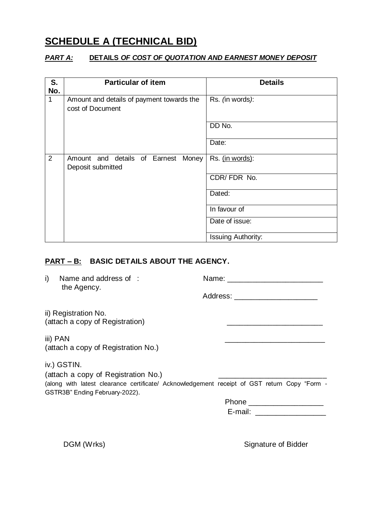# **SCHEDULE A (TECHNICAL BID)**

## *PART A:* **DETAILS** *OF COST OF QUOTATION AND EARNEST MONEY DEPOSIT*

| S.<br>No. | <b>Particular of item</b>                                     | <b>Details</b>     |
|-----------|---------------------------------------------------------------|--------------------|
| 1         | Amount and details of payment towards the<br>cost of Document | Rs. (in words):    |
|           |                                                               | DD No.             |
|           |                                                               | Date:              |
| 2         | Amount and details of Earnest Money<br>Deposit submitted      | Rs. (in words):    |
|           |                                                               | CDR/FDR No.        |
|           |                                                               | Dated:             |
|           |                                                               | In favour of       |
|           |                                                               | Date of issue:     |
|           |                                                               | Issuing Authority: |

# **PART – B: BASIC DETAILS ABOUT THE AGENCY.**

the Agency.

i) Name and address of : Name: Name:

Address: \_\_\_\_\_\_\_\_\_\_\_\_\_\_\_\_\_\_\_\_

ii) Registration No. (attach a copy of Registration)  $\qquad \qquad \qquad \qquad$ 

iii) PAN \_\_\_\_\_\_\_\_\_\_\_\_\_\_\_\_\_\_\_\_\_\_\_\_ (attach a copy of Registration No.)

iv.) GSTIN.

(attach a copy of Registration No.)

(along with latest clearance certificate/ Acknowledgement receipt of GST return Copy "Form - GSTR3B" Ending February-2022).

Phone \_\_\_\_\_\_\_\_\_\_\_\_\_\_\_\_\_\_ E-mail: \_\_\_\_\_\_\_\_\_\_\_\_\_\_\_\_\_

DGM (Wrks) Signature of Bidder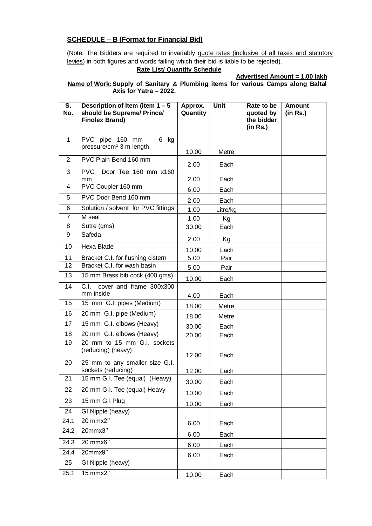#### **SCHEDULE – B (Format for Financial Bid)**

(Note: The Bidders are required to invariably quote rates (inclusive of all taxes and statutory levies) in both figures and words failing which their bid is liable to be rejected).

#### **Rate List/ Quantity Schedule**

**Advertised Amount = 1.00 lakh**

**Name of Work:Supply of Sanitary & Plumbing items for various Camps along Baltal Axis for Yatra – 2022.**

| S.<br>No.      | Description of Item (item $1 - 5$<br>should be Supreme/ Prince/<br><b>Finolex Brand)</b> | Approx.<br>Quantity | <b>Unit</b> | Rate to be<br>quoted by<br>the bidder<br>(in Rs.) | <b>Amount</b><br>(in Rs.) |
|----------------|------------------------------------------------------------------------------------------|---------------------|-------------|---------------------------------------------------|---------------------------|
| 1              | PVC pipe 160 mm<br>6<br>kg                                                               |                     |             |                                                   |                           |
|                | pressure/ $cm2$ 3 m length.                                                              | 10.00               | Metre       |                                                   |                           |
| 2              | PVC Plain Bend 160 mm                                                                    |                     |             |                                                   |                           |
| 3              | <b>PVC</b><br>Door Tee 160 mm x160                                                       | 2.00                | Each        |                                                   |                           |
|                | mm                                                                                       | 2.00                | Each        |                                                   |                           |
| 4              | PVC Coupler 160 mm                                                                       | 6.00                | Each        |                                                   |                           |
| 5              | PVC Door Bend 160 mm                                                                     | 2.00                | Each        |                                                   |                           |
| 6              | Solution / solvent for PVC fittings                                                      | 1.00                | Litre/kg    |                                                   |                           |
| $\overline{7}$ | M seal                                                                                   | 1.00                | Kg          |                                                   |                           |
| 8              | Sutre (gms)                                                                              | 30.00               | Each        |                                                   |                           |
| 9              | Safeda                                                                                   | 2.00                | Kg          |                                                   |                           |
| 10             | Hexa Blade                                                                               | 10.00               | Each        |                                                   |                           |
| 11             | Bracket C.I. for flushing cistern                                                        | 5.00                | Pair        |                                                   |                           |
| 12             | Bracket C.I. for wash basin                                                              | 5.00                | Pair        |                                                   |                           |
| 13             | 15 mm Brass bib cock (400 gms)                                                           | 10.00               | Each        |                                                   |                           |
| 14             | C.I.<br>cover and frame 300x300<br>mm inside                                             | 4.00                | Each        |                                                   |                           |
| 15             | 15 mm G.I. pipes (Medium)                                                                | 18.00               | Metre       |                                                   |                           |
| 16             | 20 mm G.I. pipe (Medium)                                                                 | 18.00               | Metre       |                                                   |                           |
| 17             | 15 mm G.I. elbows (Heavy)                                                                | 30.00               | Each        |                                                   |                           |
| 18             | 20 mm G.I. elbows (Heavy)                                                                | 20.00               | Each        |                                                   |                           |
| 19             | 20 mm to 15 mm G.I. sockets<br>(reducing) (heavy)                                        | 12.00               | Each        |                                                   |                           |
| 20             | 25 mm to any smaller size G.I.                                                           |                     |             |                                                   |                           |
|                | sockets (reducing)                                                                       | 12.00               | Each        |                                                   |                           |
| 21             | 15 mm G.I. Tee (equal) (Heavy)                                                           | 30.00               | Each        |                                                   |                           |
| 22             | 20 mm G.I. Tee (equal) Heavy                                                             | 10.00               | Each        |                                                   |                           |
| 23             | 15 mm G.I Plug                                                                           | 10.00               | Each        |                                                   |                           |
| 24             | GI Nipple (heavy)                                                                        |                     |             |                                                   |                           |
| 24.1           | 20 mmx2"                                                                                 | 6.00                | Each        |                                                   |                           |
| 24.2           | 20mmx3"                                                                                  | 6.00                | Each        |                                                   |                           |
| 24.3           | 20 mmx6"                                                                                 | 6.00                | Each        |                                                   |                           |
| 24.4           | 20mmx9"                                                                                  | 6.00                | Each        |                                                   |                           |
| 25             | GI Nipple (heavy)                                                                        |                     |             |                                                   |                           |
| 25.1           | 15 mmx2"                                                                                 | 10.00               | Each        |                                                   |                           |